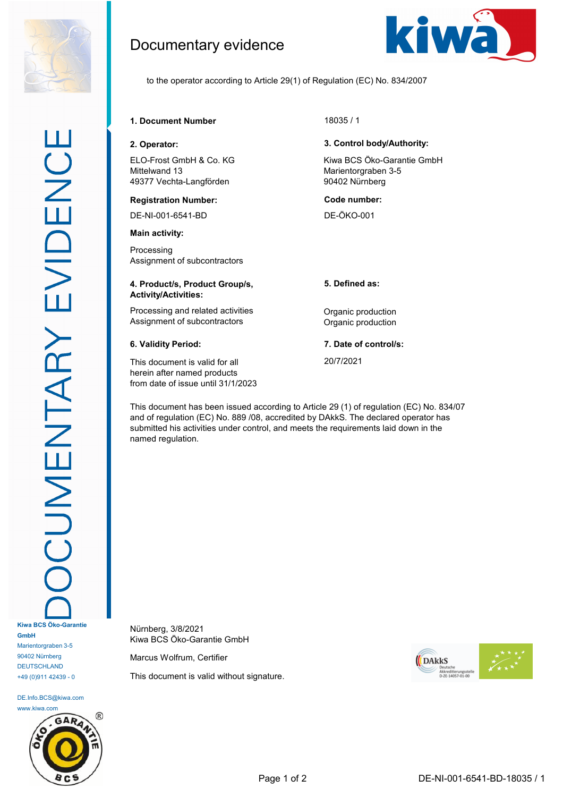

DE.Info.BCS@kiwa.com www.kiwa.com



# Documentary evidence



to the operator according to Article 29(1) of Regulation (EC) No. 834/2007

## **1. Document Number** 18035 / 1

ELO-Frost GmbH & Co. KG Mittelwand 13 49377 Vechta-Langförden

### **Registration Number: Code number:**

DE-NI-001-6541-BD DE-ÖKO-001

### **Main activity:**

Processing Assignment of subcontractors

### **4. Product/s, Product Group/s, Activity/Activities:**

Processing and related activities **Constanting Contract Processing and related activities Constanting Constanting Constanting Constanting Constanting Processing and related activities** Assignment of subcontractors **Contractors** Organic production

This document is valid for all herein after named products from date of issue until 31/1/2023

### **2. Operator: 3. Control body/Authority:**

Kiwa BCS Öko-Garantie GmbH Marientorgraben 3-5 90402 Nürnberg

**5. Defined as:**

**6. Validity Period: 7. Date of control/s:**

20/7/2021

This document has been issued according to Article 29 (1) of regulation (EC) No. 834/07 and of regulation (EC) No. 889 /08, accredited by DAkkS. The declared operator has submitted his activities under control, and meets the requirements laid down in the named regulation.

Nürnberg, 3/8/2021 Kiwa BCS Öko-Garantie GmbH

Marcus Wolfrum, Certifier

This document is valid without signature.